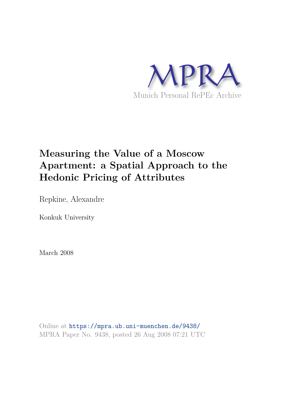

# **Measuring the Value of a Moscow Apartment: a Spatial Approach to the Hedonic Pricing of Attributes**

Repkine, Alexandre

Konkuk University

March 2008

Online at https://mpra.ub.uni-muenchen.de/9438/ MPRA Paper No. 9438, posted 26 Aug 2008 07:21 UTC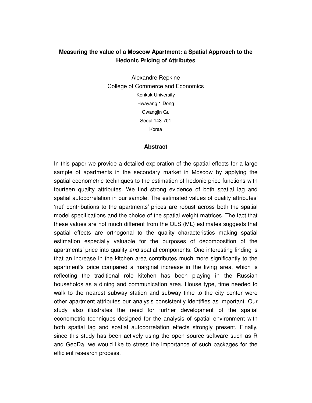### **Measuring the value of a Moscow Apartment: a Spatial Approach to the Hedonic Pricing of Attributes**

Alexandre Repkine College of Commerce and Economics Konkuk University Hwayang 1 Dong Gwangjin Gu Seoul 143-701 Korea

### **Abstract**

In this paper we provide a detailed exploration of the spatial effects for a large sample of apartments in the secondary market in Moscow by applying the spatial econometric techniques to the estimation of hedonic price functions with fourteen quality attributes. We find strong evidence of both spatial lag and spatial autocorrelation in our sample. The estimated values of quality attributes' 'net' contributions to the apartments' prices are robust across both the spatial model specifications and the choice of the spatial weight matrices. The fact that these values are not much different from the OLS (ML) estimates suggests that spatial effects are orthogonal to the quality characteristics making spatial estimation especially valuable for the purposes of decomposition of the apartments' price into quality *and* spatial components. One interesting finding is that an increase in the kitchen area contributes much more significantly to the apartment's price compared a marginal increase in the living area, which is reflecting the traditional role kitchen has been playing in the Russian households as a dining and communication area. House type, time needed to walk to the nearest subway station and subway time to the city center were other apartment attributes our analysis consistently identifies as important. Our study also illustrates the need for further development of the spatial econometric techniques designed for the analysis of spatial environment with both spatial lag and spatial autocorrelation effects strongly present. Finally, since this study has been actively using the open source software such as R and GeoDa, we would like to stress the importance of such packages for the efficient research process.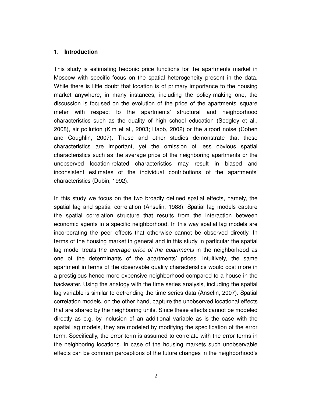### **1. Introduction**

This study is estimating hedonic price functions for the apartments market in Moscow with specific focus on the spatial heterogeneity present in the data. While there is little doubt that location is of primary importance to the housing market anywhere, in many instances, including the policy-making one, the discussion is focused on the evolution of the price of the apartments' square meter with respect to the apartments' structural and neighborhood characteristics such as the quality of high school education (Sedgley et al., 2008), air pollution (Kim et al., 2003; Habb, 2002) or the airport noise (Cohen and Coughlin, 2007). These and other studies demonstrate that these characteristics are important, yet the omission of less obvious spatial characteristics such as the average price of the neighboring apartments or the unobserved location-related characteristics may result in biased and inconsistent estimates of the individual contributions of the apartments' characteristics (Dubin, 1992).

In this study we focus on the two broadly defined spatial effects, namely, the spatial lag and spatial correlation (Anselin, 1988). Spatial lag models capture the spatial correlation structure that results from the interaction between economic agents in a specific neighborhood. In this way spatial lag models are incorporating the peer effects that otherwise cannot be observed directly. In terms of the housing market in general and in this study in particular the spatial lag model treats the *average price of the apartments* in the neighborhood as one of the determinants of the apartments' prices. Intuitively, the same apartment in terms of the observable quality characteristics would cost more in a prestigious hence more expensive neighborhood compared to a house in the backwater. Using the analogy with the time series analysis, including the spatial lag variable is similar to detrending the time series data (Anselin, 2007). Spatial correlation models, on the other hand, capture the unobserved locational effects that are shared by the neighboring units. Since these effects cannot be modeled directly as e.g. by inclusion of an additional variable as is the case with the spatial lag models, they are modeled by modifying the specification of the error term. Specifically, the error term is assumed to correlate with the error terms in the neighboring locations. In case of the housing markets such unobservable effects can be common perceptions of the future changes in the neighborhood's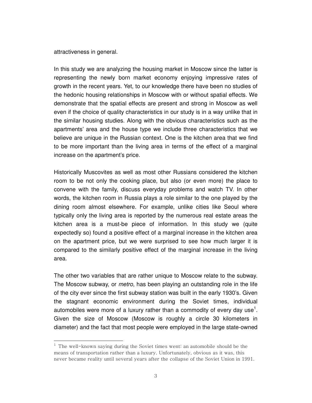attractiveness in general.

l

In this study we are analyzing the housing market in Moscow since the latter is representing the newly born market economy enjoying impressive rates of growth in the recent years. Yet, to our knowledge there have been no studies of the hedonic housing relationships in Moscow with or without spatial effects. We demonstrate that the spatial effects are present and strong in Moscow as well even if the choice of quality characteristics in our study is in a way unlike that in the similar housing studies. Along with the obvious characteristics such as the apartments' area and the house type we include three characteristics that we believe are unique in the Russian context. One is the kitchen area that we find to be more important than the living area in terms of the effect of a marginal increase on the apartment's price.

Historically Muscovites as well as most other Russians considered the kitchen room to be not only the cooking place, but also (or even more) the place to convene with the family, discuss everyday problems and watch TV. In other words, the kitchen room in Russia plays a role similar to the one played by the dining room almost elsewhere. For example, unlike cities like Seoul where typically only the living area is reported by the numerous real estate areas the kitchen area is a must-be piece of information. In this study we (quite expectedly so) found a positive effect of a marginal increase in the kitchen area on the apartment price, but we were surprised to see how much larger it is compared to the similarly positive effect of the marginal increase in the living area.

The other two variables that are rather unique to Moscow relate to the subway. The Moscow subway, or *metro*, has been playing an outstanding role in the life of the city ever since the first subway station was built in the early 1930's. Given the stagnant economic environment during the Soviet times, individual automobiles were more of a luxury rather than a commodity of every day use<sup>1</sup>. Given the size of Moscow (Moscow is roughly a circle 30 kilometers in diameter) and the fact that most people were employed in the large state-owned

 $^{\rm 1}$  The well-known saying during the Soviet times went: an automobile should be the means of transportation rather than a luxury. Unfortunately, obvious as it was, this never became reality until several years after the collapse of the Soviet Union in 1991.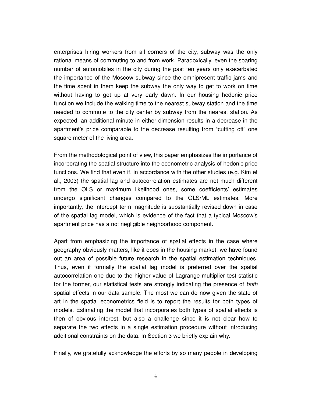enterprises hiring workers from all corners of the city, subway was the only rational means of commuting to and from work. Paradoxically, even the soaring number of automobiles in the city during the past ten years only exacerbated the importance of the Moscow subway since the omnipresent traffic jams and the time spent in them keep the subway the only way to get to work on time without having to get up at very early dawn. In our housing hedonic price function we include the walking time to the nearest subway station and the time needed to commute to the city center by subway from the nearest station. As expected, an additional minute in either dimension results in a decrease in the apartment's price comparable to the decrease resulting from "cutting off" one square meter of the living area.

From the methodological point of view, this paper emphasizes the importance of incorporating the spatial structure into the econometric analysis of hedonic price functions. We find that even if, in accordance with the other studies (e.g. Kim et al., 2003) the spatial lag and autocorrelation estimates are not much different from the OLS or maximum likelihood ones, some coefficients' estimates undergo significant changes compared to the OLS/ML estimates. More importantly, the intercept term magnitude is substantially revised down in case of the spatial lag model, which is evidence of the fact that a typical Moscow's apartment price has a not negligible neighborhood component.

Apart from emphasizing the importance of spatial effects in the case where geography obviously matters, like it does in the housing market, we have found out an area of possible future research in the spatial estimation techniques. Thus, even if formally the spatial lag model is preferred over the spatial autocorrelation one due to the higher value of Lagrange multiplier test statistic for the former, our statistical tests are strongly indicating the presence of *both* spatial effects in our data sample. The most we can do now given the state of art in the spatial econometrics field is to report the results for both types of models. Estimating the model that incorporates both types of spatial effects is then of obvious interest, but also a challenge since it is not clear how to separate the two effects in a single estimation procedure without introducing additional constraints on the data. In Section 3 we briefly explain why.

Finally, we gratefully acknowledge the efforts by so many people in developing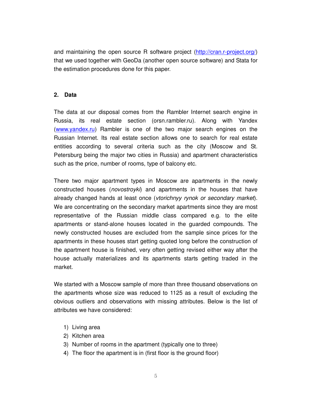and maintaining the open source R software project (http://cran.r-project.org/) that we used together with GeoDa (another open source software) and Stata for the estimation procedures done for this paper.

### **2. Data**

The data at our disposal comes from the Rambler Internet search engine in Russia, its real estate section (orsn.rambler.ru). Along with Yandex (www.yandex.ru) Rambler is one of the two major search engines on the Russian Internet. Its real estate section allows one to search for real estate entities according to several criteria such as the city (Moscow and St. Petersburg being the major two cities in Russia) and apartment characteristics such as the price, number of rooms, type of balcony etc.

There two major apartment types in Moscow are apartments in the newly constructed houses (*novostroyki*) and apartments in the houses that have already changed hands at least once (*vtorichnyy rynok or secondary market*). We are concentrating on the secondary market apartments since they are most representative of the Russian middle class compared e.g. to the elite apartments or stand-alone houses located in the guarded compounds. The newly constructed houses are excluded from the sample since prices for the apartments in these houses start getting quoted long before the construction of the apartment house is finished, very often getting revised either way after the house actually materializes and its apartments starts getting traded in the market.

We started with a Moscow sample of more than three thousand observations on the apartments whose size was reduced to 1125 as a result of excluding the obvious outliers and observations with missing attributes. Below is the list of attributes we have considered:

- 1) Living area
- 2) Kitchen area
- 3) Number of rooms in the apartment (typically one to three)
- 4) The floor the apartment is in (first floor is the ground floor)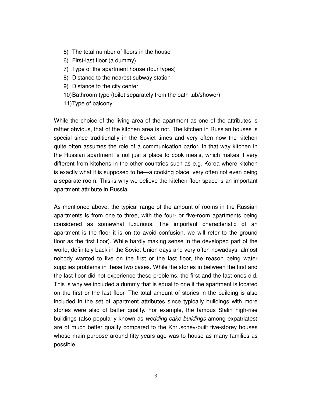- 5) The total number of floors in the house
- 6) First-last floor (a dummy)
- 7) Type of the apartment house (four types)
- 8) Distance to the nearest subway station
- 9) Distance to the city center
- 10) Bathroom type (toilet separately from the bath tub/shower)
- 11) Type of balcony

While the choice of the living area of the apartment as one of the attributes is rather obvious, that of the kitchen area is not. The kitchen in Russian houses is special since traditionally in the Soviet times and very often now the kitchen quite often assumes the role of a communication parlor. In that way kitchen in the Russian apartment is not just a place to cook meals, which makes it very different from kitchens in the other countries such as e.g. Korea where kitchen is exactly what it is supposed to be—a cooking place, very often not even being a separate room. This is why we believe the kitchen floor space is an important apartment attribute in Russia.

As mentioned above, the typical range of the amount of rooms in the Russian apartments is from one to three, with the four- or five-room apartments being considered as somewhat luxurious. The important characteristic of an apartment is the floor it is on (to avoid confusion, we will refer to the ground floor as the first floor). While hardly making sense in the developed part of the world, definitely back in the Soviet Union days and very often nowadays, almost nobody wanted to live on the first or the last floor, the reason being water supplies problems in these two cases. While the stories in between the first and the last floor did not experience these problems, the first and the last ones did. This is why we included a dummy that is equal to one if the apartment is located on the first or the last floor. The total amount of stories in the building is also included in the set of apartment attributes since typically buildings with more stories were also of better quality. For example, the famous Stalin high-rise buildings (also popularly known as *wedding-cake buildings* among expatriates) are of much better quality compared to the Khruschev-built five-storey houses whose main purpose around fifty years ago was to house as many families as possible.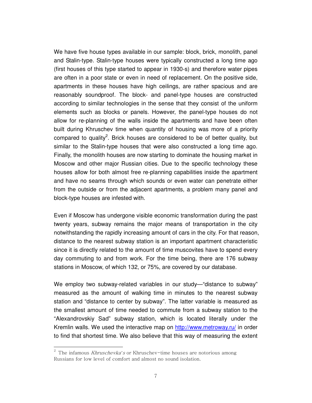We have five house types available in our sample: block, brick, monolith, panel and Stalin-type. Stalin-type houses were typically constructed a long time ago (first houses of this type started to appear in 1930-s) and therefore water pipes are often in a poor state or even in need of replacement. On the positive side, apartments in these houses have high ceilings, are rather spacious and are reasonably soundproof. The block- and panel-type houses are constructed according to similar technologies in the sense that they consist of the uniform elements such as blocks or panels. However, the panel-type houses do not allow for re-planning of the walls inside the apartments and have been often built during Khruschev time when quantity of housing was more of a priority compared to quality<sup>2</sup>. Brick houses are considered to be of better quality, but similar to the Stalin-type houses that were also constructed a long time ago. Finally, the monolith houses are now starting to dominate the housing market in Moscow and other major Russian cities. Due to the specific technology these houses allow for both almost free re-planning capabilities inside the apartment and have no seams through which sounds or even water can penetrate either from the outside or from the adjacent apartments, a problem many panel and block-type houses are infested with.

Even if Moscow has undergone visible economic transformation during the past twenty years, subway remains the major means of transportation in the city notwithstanding the rapidly increasing amount of cars in the city. For that reason, distance to the nearest subway station is an important apartment characteristic since it is directly related to the amount of time muscovites have to spend every day commuting to and from work. For the time being, there are 176 subway stations in Moscow, of which 132, or 75%, are covered by our database.

We employ two subway-related variables in our study—"distance to subway" measured as the amount of walking time in minutes to the nearest subway station and "distance to center by subway". The latter variable is measured as the smallest amount of time needed to commute from a subway station to the "Alexandrovskiy Sad" subway station, which is located literally under the Kremlin walls. We used the interactive map on http://www.metroway.ru/ in order to find that shortest time. We also believe that this way of measuring the extent

l

<sup>2</sup> The infamous Khruschevka*'*s or Khruschev-time houses are notorious among Russians for low level of comfort and almost no sound isolation.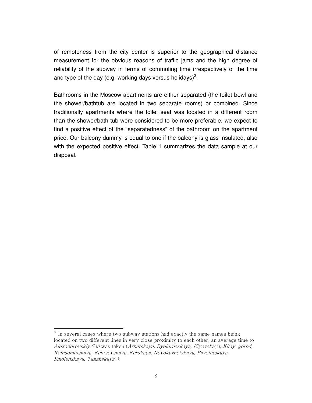of remoteness from the city center is superior to the geographical distance measurement for the obvious reasons of traffic jams and the high degree of reliability of the subway in terms of commuting time irrespectively of the time and type of the day (e.g. working days versus holidays)<sup>3</sup>.

Bathrooms in the Moscow apartments are either separated (the toilet bowl and the shower/bathtub are located in two separate rooms) or combined. Since traditionally apartments where the toilet seat was located in a different room than the shower/bath tub were considered to be more preferable, we expect to find a positive effect of the "separatedness" of the bathroom on the apartment price. Our balcony dummy is equal to one if the balcony is glass-insulated, also with the expected positive effect. Table 1 summarizes the data sample at our disposal.

l

 $^3$  In several cases where two subway stations had exactly the same names being located on two different lines in very close proximity to each other, an average time to Alexandrovskiy Sad was taken (Arbatskaya, Byelorusskaya, Kiyevskaya, Kitay-gorod, Komsomolskaya, Kuntsevskaya, Kurskaya, Novokuznetskaya, Paveletskaya, Smolenskaya, Taganskaya, ).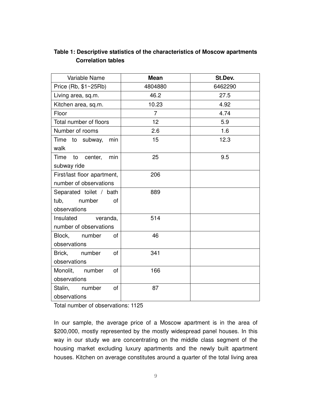### **Table 1: Descriptive statistics of the characteristics of Moscow apartments Correlation tables**

| Variable Name                  | <b>Mean</b>    | St.Dev. |
|--------------------------------|----------------|---------|
| Price (Rb, \$1~25Rb)           | 4804880        | 6462290 |
| Living area, sq.m.             | 46.2           | 27.5    |
| Kitchen area, sq.m.            | 10.23          | 4.92    |
| Floor                          | $\overline{7}$ | 4.74    |
| Total number of floors         | 12             | 5.9     |
| Number of rooms                | 2.6            | 1.6     |
| Time to subway,<br>min         | 15             | 12.3    |
| walk                           |                |         |
| Time to center,<br>min         | 25             | 9.5     |
| subway ride                    |                |         |
| First/last floor apartment,    | 206            |         |
| number of observations         |                |         |
| Separated toilet / bath        | 889            |         |
| number<br>tub,<br>0f           |                |         |
| observations                   |                |         |
| Insulated veranda,             | 514            |         |
| number of observations         |                |         |
| Block, number<br>of            | 46             |         |
| observations                   |                |         |
| number<br>Brick,<br>0f         | 341            |         |
| observations                   |                |         |
| Monolit, number<br>of          | 166            |         |
| observations                   |                |         |
| Stalin,<br>number<br><b>of</b> | 87             |         |
| observations                   |                |         |

Total number of observations: 1125

In our sample, the average price of a Moscow apartment is in the area of \$200,000, mostly represented by the mostly widespread panel houses. In this way in our study we are concentrating on the middle class segment of the housing market excluding luxury apartments and the newly built apartment houses. Kitchen on average constitutes around a quarter of the total living area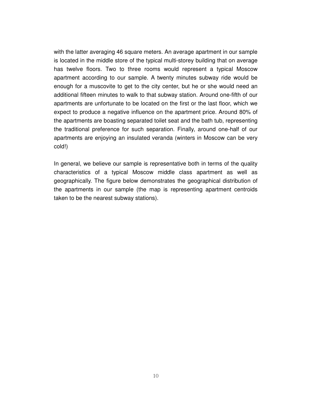with the latter averaging 46 square meters. An average apartment in our sample is located in the middle store of the typical multi-storey building that on average has twelve floors. Two to three rooms would represent a typical Moscow apartment according to our sample. A twenty minutes subway ride would be enough for a muscovite to get to the city center, but he or she would need an additional fifteen minutes to walk to that subway station. Around one-fifth of our apartments are unfortunate to be located on the first or the last floor, which we expect to produce a negative influence on the apartment price. Around 80% of the apartments are boasting separated toilet seat and the bath tub, representing the traditional preference for such separation. Finally, around one-half of our apartments are enjoying an insulated veranda (winters in Moscow can be very cold!)

In general, we believe our sample is representative both in terms of the quality characteristics of a typical Moscow middle class apartment as well as geographically. The figure below demonstrates the geographical distribution of the apartments in our sample (the map is representing apartment centroids taken to be the nearest subway stations).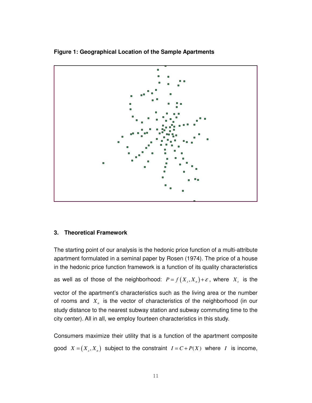



### **3. Theoretical Framework**

The starting point of our analysis is the hedonic price function of a multi-attribute apartment formulated in a seminal paper by Rosen (1974). The price of a house in the hedonic price function framework is a function of its quality characteristics as well as of those of the neighborhood:  $P = f(X_s, X_n) + \varepsilon$ , where  $X_s$  is the

vector of the apartment's characteristics such as the living area or the number of rooms and *X<sup>n</sup>* is the vector of characteristics of the neighborhood (in our study distance to the nearest subway station and subway commuting time to the city center). All in all, we employ fourteen characteristics in this study.

Consumers maximize their utility that is a function of the apartment composite good  $X = (X_s, X_n)$  subject to the constraint  $I = C + P(X)$  where *I* is income,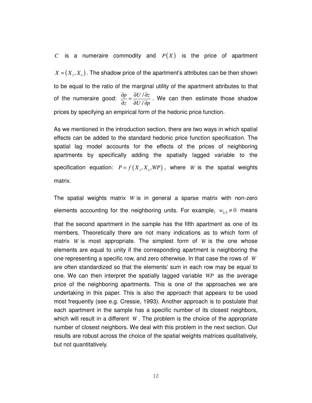$C$  is a numeraire commodity and  $P(X)$  is the price of apartment  $X = (X, X_n)$ . The shadow price of the apartment's attributes can be then shown to be equal to the ratio of the marginal utility of the apartment attributes to that of the numeraire good:  $\frac{\partial p}{\partial t} = \frac{\partial U}{\partial x}$ / *p*  $\partial U/\partial z$ z  $\partial U / \partial p$  $\frac{\partial p}{\partial \theta} = \frac{\partial U/\partial}{\partial \theta}$ ∂ა 9∩\9 . We can then estimate those shadow prices by specifying an empirical form of the hedonic price function.

As we mentioned in the introduction section, there are two ways in which spatial effects can be added to the standard hedonic price function specification. The spatial lag model accounts for the effects of the prices of neighboring apartments by specifically adding the spatially lagged variable to the specification equation:  $P = f(X_s, X_s, WP)$ , where *W* is the spatial weights matrix.

The spatial weights matrix *W* is in general a sparse matrix with non-zero elements accounting for the neighboring units. For example,  $w_{2,5} \neq 0$  means

that the second apartment in the sample has the fifth apartment as one of its members. Theoretically there are not many indications as to which form of matrix *W* is most appropriate. The simplest form of *W* is the one whose elements are equal to unity if the corresponding apartment is neighboring the one representing a specific row, and zero otherwise. In that case the rows of *W* are often standardized so that the elements' sum in each row may be equal to one. We can then interpret the spatially lagged variable *WP* as the average price of the neighboring apartments. This is one of the approaches we are undertaking in this paper. This is also the approach that appears to be used most frequently (see e.g. Cressie, 1993). Another approach is to postulate that each apartment in the sample has a specific number of its closest neighbors, which will result in a different *W* . The problem is the choice of the appropriate number of closest neighbors. We deal with this problem in the next section. Our results are robust across the choice of the spatial weights matrices qualitatively, but not quantitatively.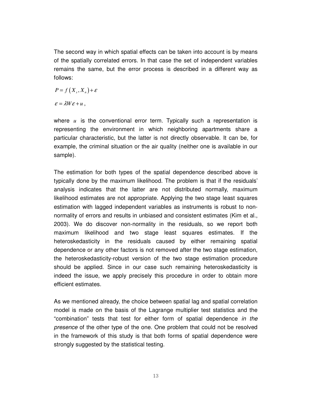The second way in which spatial effects can be taken into account is by means of the spatially correlated errors. In that case the set of independent variables remains the same, but the error process is described in a different way as follows:

$$
P = f(X_s, X_n) + \varepsilon
$$

 $\varepsilon = \lambda W \varepsilon + u$ .

where *u* is the conventional error term. Typically such a representation is representing the environment in which neighboring apartments share a particular characteristic, but the latter is not directly observable. It can be, for example, the criminal situation or the air quality (neither one is available in our sample).

The estimation for both types of the spatial dependence described above is typically done by the maximum likelihood. The problem is that if the residuals' analysis indicates that the latter are not distributed normally, maximum likelihood estimates are not appropriate. Applying the two stage least squares estimation with lagged independent variables as instruments is robust to nonnormality of errors and results in unbiased and consistent estimates (Kim et al., 2003). We do discover non-normality in the residuals, so we report both maximum likelihood and two stage least squares estimates. If the heteroskedasticity in the residuals caused by either remaining spatial dependence or any other factors is not removed after the two stage estimation, the heteroskedasticity-robust version of the two stage estimation procedure should be applied. Since in our case such remaining heteroskedasticity is indeed the issue, we apply precisely this procedure in order to obtain more efficient estimates.

As we mentioned already, the choice between spatial lag and spatial correlation model is made on the basis of the Lagrange multiplier test statistics and the "combination" tests that test for either form of spatial dependence *in the presence* of the other type of the one. One problem that could not be resolved in the framework of this study is that both forms of spatial dependence were strongly suggested by the statistical testing.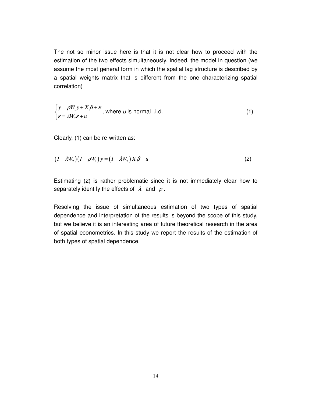The not so minor issue here is that it is not clear how to proceed with the estimation of the two effects simultaneously. Indeed, the model in question (we assume the most general form in which the spatial lag structure is described by a spatial weights matrix that is different from the one characterizing spatial correlation)

$$
\begin{cases}\ny = \rho W_1 y + X \beta + \varepsilon, \\
\varepsilon = \lambda W_2 \varepsilon + u\n\end{cases}
$$
, where *u* is normal i.i.d. (1)

Clearly, (1) can be re-written as:

$$
(I - \lambda W_2)(I - \rho W_1) y = (I - \lambda W_2) X \beta + u \tag{2}
$$

Estimating (2) is rather problematic since it is not immediately clear how to separately identify the effects of  $\lambda$  and  $\rho$ .

Resolving the issue of simultaneous estimation of two types of spatial dependence and interpretation of the results is beyond the scope of this study, but we believe it is an interesting area of future theoretical research in the area of spatial econometrics. In this study we report the results of the estimation of both types of spatial dependence.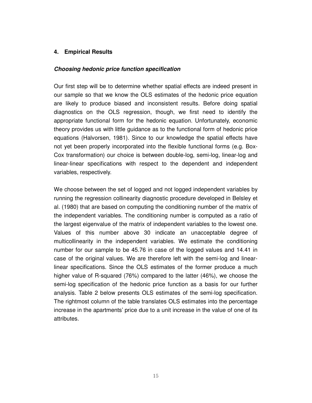### **4. Empirical Results**

### **Choosing hedonic price function specification**

Our first step will be to determine whether spatial effects are indeed present in our sample so that we know the OLS estimates of the hedonic price equation are likely to produce biased and inconsistent results. Before doing spatial diagnostics on the OLS regression, though, we first need to identify the appropriate functional form for the hedonic equation. Unfortunately, economic theory provides us with little guidance as to the functional form of hedonic price equations (Halvorsen, 1981). Since to our knowledge the spatial effects have not yet been properly incorporated into the flexible functional forms (e.g. Box-Cox transformation) our choice is between double-log, semi-log, linear-log and linear-linear specifications with respect to the dependent and independent variables, respectively.

We choose between the set of logged and not logged independent variables by running the regression collinearity diagnostic procedure developed in Belsley et al. (1980) that are based on computing the conditioning number of the matrix of the independent variables. The conditioning number is computed as a ratio of the largest eigenvalue of the matrix of independent variables to the lowest one. Values of this number above 30 indicate an unacceptable degree of multicollinearity in the independent variables. We estimate the conditioning number for our sample to be 45.76 in case of the logged values and 14.41 in case of the original values. We are therefore left with the semi-log and linearlinear specifications. Since the OLS estimates of the former produce a much higher value of R-squared (76%) compared to the latter (46%), we choose the semi-log specification of the hedonic price function as a basis for our further analysis. Table 2 below presents OLS estimates of the semi-log specification. The rightmost column of the table translates OLS estimates into the percentage increase in the apartments' price due to a unit increase in the value of one of its attributes.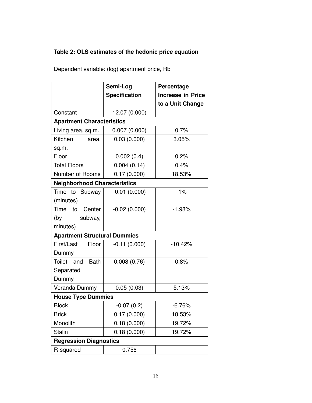# **Table 2: OLS estimates of the hedonic price equation**

Dependent variable: (log) apartment price, Rb

|                                     | Semi-Log             | Percentage               |  |  |
|-------------------------------------|----------------------|--------------------------|--|--|
|                                     | <b>Specification</b> | <b>Increase in Price</b> |  |  |
|                                     |                      | to a Unit Change         |  |  |
| Constant                            | 12.07 (0.000)        |                          |  |  |
| <b>Apartment Characteristics</b>    |                      |                          |  |  |
| Living area, sq.m.                  | 0.007(0.000)         | 0.7%                     |  |  |
| Kitchen<br>area,                    | 0.03(0.000)          | 3.05%                    |  |  |
| sq.m.                               |                      |                          |  |  |
| Floor                               | 0.002(0.4)           | 0.2%                     |  |  |
| <b>Total Floors</b>                 | 0.004(0.14)          | 0.4%                     |  |  |
| Number of Rooms                     | 0.17(0.000)          | 18.53%                   |  |  |
| <b>Neighborhood Characteristics</b> |                      |                          |  |  |
| Time to Subway                      | $-0.01(0.000)$       | $-1%$                    |  |  |
| (minutes)                           |                      |                          |  |  |
| Time to<br>Center                   | $-0.02(0.000)$       | $-1.98%$                 |  |  |
| (by<br>subway,                      |                      |                          |  |  |
| minutes)                            |                      |                          |  |  |
| <b>Apartment Structural Dummies</b> |                      |                          |  |  |
| First/Last<br>Floor                 | $-0.11(0.000)$       | $-10.42%$                |  |  |
| Dummy                               |                      |                          |  |  |
| <b>Bath</b><br>Toilet and           | 0.008(0.76)          | 0.8%                     |  |  |
| Separated                           |                      |                          |  |  |
| Dummy                               |                      |                          |  |  |
| Veranda Dummy                       | 0.05(0.03)           | 5.13%                    |  |  |
| <b>House Type Dummies</b>           |                      |                          |  |  |
| <b>Block</b>                        | $-0.07(0.2)$         | $-6.76%$                 |  |  |
| <b>Brick</b>                        | 0.17(0.000)          | 18.53%                   |  |  |
| Monolith                            | 0.18(0.000)          | 19.72%                   |  |  |
| <b>Stalin</b>                       | 0.18(0.000)          | 19.72%                   |  |  |
| <b>Regression Diagnostics</b>       |                      |                          |  |  |
| R-squared                           | 0.756                |                          |  |  |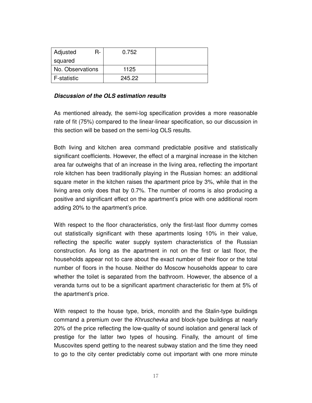| Adjusted<br>R-     | 0.752  |  |
|--------------------|--------|--|
| squared            |        |  |
| No. Observations   | 1125   |  |
| <b>F-statistic</b> | 245.22 |  |

### **Discussion of the OLS estimation results**

As mentioned already, the semi-log specification provides a more reasonable rate of fit (75%) compared to the linear-linear specification, so our discussion in this section will be based on the semi-log OLS results.

Both living and kitchen area command predictable positive and statistically significant coefficients. However, the effect of a marginal increase in the kitchen area far outweighs that of an increase in the living area, reflecting the important role kitchen has been traditionally playing in the Russian homes: an additional square meter in the kitchen raises the apartment price by 3%, while that in the living area only does that by 0.7%. The number of rooms is also producing a positive and significant effect on the apartment's price with one additional room adding 20% to the apartment's price.

With respect to the floor characteristics, only the first-last floor dummy comes out statistically significant with these apartments losing 10% in their value, reflecting the specific water supply system characteristics of the Russian construction. As long as the apartment in not on the first or last floor, the households appear not to care about the exact number of their floor or the total number of floors in the house. Neither do Moscow households appear to care whether the toilet is separated from the bathroom. However, the absence of a veranda turns out to be a significant apartment characteristic for them at 5% of the apartment's price.

With respect to the house type, brick, monolith and the Stalin-type buildings command a premium over the *Khruschevka* and block-type buildings at nearly 20% of the price reflecting the low-quality of sound isolation and general lack of prestige for the latter two types of housing. Finally, the amount of time Muscovites spend getting to the nearest subway station and the time they need to go to the city center predictably come out important with one more minute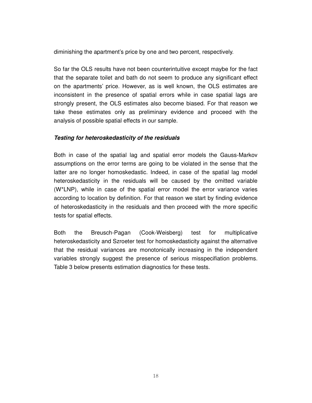diminishing the apartment's price by one and two percent, respectively.

So far the OLS results have not been counterintuitive except maybe for the fact that the separate toilet and bath do not seem to produce any significant effect on the apartments' price. However, as is well known, the OLS estimates are inconsistent in the presence of spatial errors while in case spatial lags are strongly present, the OLS estimates also become biased. For that reason we take these estimates only as preliminary evidence and proceed with the analysis of possible spatial effects in our sample.

### **Testing for heteroskedasticity of the residuals**

Both in case of the spatial lag and spatial error models the Gauss-Markov assumptions on the error terms are going to be violated in the sense that the latter are no longer homoskedastic. Indeed, in case of the spatial lag model heteroskedasticity in the residuals will be caused by the omitted variable (W\*LNP), while in case of the spatial error model the error variance varies according to location by definition. For that reason we start by finding evidence of heteroskedasticity in the residuals and then proceed with the more specific tests for spatial effects.

Both the Breusch-Pagan (Cook-Weisberg) test for multiplicative heteroskedasticity and Szroeter test for homoskedasticity against the alternative that the residual variances are monotonically increasing in the independent variables strongly suggest the presence of serious misspecifiation problems. Table 3 below presents estimation diagnostics for these tests.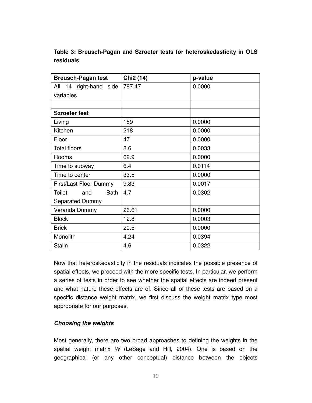## **Table 3: Breusch-Pagan and Szroeter tests for heteroskedasticity in OLS residuals**

| <b>Breusch-Pagan test</b> | Chi <sub>2</sub> (14) | p-value |
|---------------------------|-----------------------|---------|
| All 14 right-hand side    | 787.47                | 0.0000  |
| variables                 |                       |         |
|                           |                       |         |
| <b>Szroeter test</b>      |                       |         |
| Living                    | 159                   | 0.0000  |
| Kitchen                   | 218                   | 0.0000  |
| Floor                     | 47                    | 0.0000  |
| <b>Total floors</b>       | 8.6                   | 0.0033  |
| Rooms                     | 62.9                  | 0.0000  |
| Time to subway            | 6.4                   | 0.0114  |
| Time to center            | 33.5                  | 0.0000  |
| First/Last Floor Dummy    | 9.83                  | 0.0017  |
| Toilet<br>Bath<br>and     | 4.7                   | 0.0302  |
| <b>Separated Dummy</b>    |                       |         |
| Veranda Dummy             | 26.61                 | 0.0000  |
| <b>Block</b>              | 12.8                  | 0.0003  |
| <b>Brick</b>              | 20.5                  | 0.0000  |
| Monolith                  | 4.24                  | 0.0394  |
| <b>Stalin</b>             | 4.6                   | 0.0322  |

Now that heteroskedasticity in the residuals indicates the possible presence of spatial effects, we proceed with the more specific tests. In particular, we perform a series of tests in order to see whether the spatial effects are indeed present and what nature these effects are of. Since all of these tests are based on a specific distance weight matrix, we first discuss the weight matrix type most appropriate for our purposes.

### **Choosing the weights**

Most generally, there are two broad approaches to defining the weights in the spatial weight matrix *W* (LeSage and Hill, 2004). One is based on the geographical (or any other conceptual) distance between the objects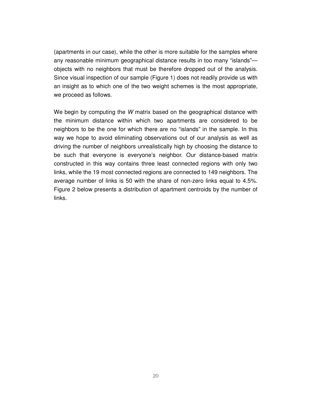(apartments in our case), while the other is more suitable for the samples where any reasonable minimum geographical distance results in too many "islands" objects with no neighbors that must be therefore dropped out of the analysis. Since visual inspection of our sample (Figure 1) does not readily provide us with an insight as to which one of the two weight schemes is the most appropriate, we proceed as follows.

We begin by computing the *W* matrix based on the geographical distance with the minimum distance within which two apartments are considered to be neighbors to be the one for which there are no "islands" in the sample. In this way we hope to avoid eliminating observations out of our analysis as well as driving the number of neighbors unrealistically high by choosing the distance to be such that everyone is everyone's neighbor. Our distance-based matrix constructed in this way contains three least connected regions with only two links, while the 19 most connected regions are connected to 149 neighbors. The average number of links is 50 with the share of non-zero links equal to 4.5%. Figure 2 below presents a distribution of apartment centroids by the number of links.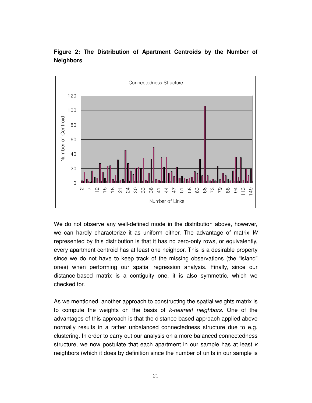

**Figure 2: The Distribution of Apartment Centroids by the Number of Neighbors** 

We do not observe any well-defined mode in the distribution above, however, we can hardly characterize it as uniform either. The advantage of matrix *W* represented by this distribution is that it has no zero-only rows, or equivalently, every apartment centroid has at least one neighbor. This is a desirable property since we do not have to keep track of the missing observations (the "island" ones) when performing our spatial regression analysis. Finally, since our distance-based matrix is a contiguity one, it is also symmetric, which we checked for.

As we mentioned, another approach to constructing the spatial weights matrix is to compute the weights on the basis of *k-nearest neighbors.* One of the advantages of this approach is that the distance-based approach applied above normally results in a rather unbalanced connectedness structure due to e.g. clustering. In order to carry out our analysis on a more balanced connectedness structure, we now postulate that each apartment in our sample has at least *k*  neighbors (which it does by definition since the number of units in our sample is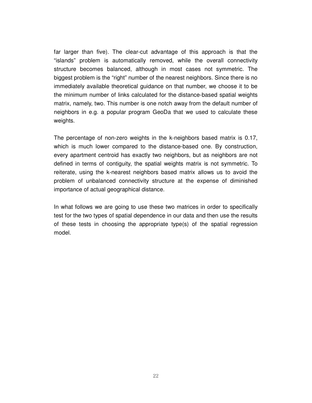far larger than five). The clear-cut advantage of this approach is that the "islands" problem is automatically removed, while the overall connectivity structure becomes balanced, although in most cases not symmetric. The biggest problem is the "right" number of the nearest neighbors. Since there is no immediately available theoretical guidance on that number, we choose it to be the minimum number of links calculated for the distance-based spatial weights matrix, namely, two. This number is one notch away from the default number of neighbors in e.g. a popular program GeoDa that we used to calculate these weights.

The percentage of non-zero weights in the k-neighbors based matrix is 0.17, which is much lower compared to the distance-based one. By construction, every apartment centroid has exactly two neighbors, but as neighbors are not defined in terms of contiguity, the spatial weights matrix is not symmetric. To reiterate, using the k-nearest neighbors based matrix allows us to avoid the problem of unbalanced connectivity structure at the expense of diminished importance of actual geographical distance.

In what follows we are going to use these two matrices in order to specifically test for the two types of spatial dependence in our data and then use the results of these tests in choosing the appropriate type(s) of the spatial regression model.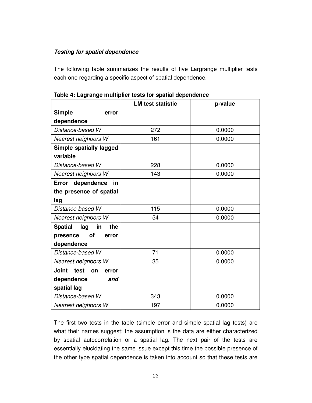### **Testing for spatial dependence**

The following table summarizes the results of five Largrange multiplier tests each one regarding a specific aspect of spatial dependence.

|                                     | <b>LM test statistic</b> | p-value |
|-------------------------------------|--------------------------|---------|
| <b>Simple</b><br>error              |                          |         |
| dependence                          |                          |         |
| Distance-based W                    | 272                      | 0.0000  |
| Nearest neighbors W                 | 161                      | 0.0000  |
| Simple spatially lagged             |                          |         |
| variable                            |                          |         |
| Distance-based W                    | 228                      | 0.0000  |
| Nearest neighbors W                 | 143                      | 0.0000  |
| dependence<br>Error<br>in           |                          |         |
| the presence of spatial             |                          |         |
| lag                                 |                          |         |
| Distance-based W                    | 115                      | 0.0000  |
| Nearest neighbors W                 | 54                       | 0.0000  |
| <b>Spatial</b><br>lag<br>in<br>the  |                          |         |
| <b>of</b><br>presence<br>error      |                          |         |
| dependence                          |                          |         |
| Distance-based W                    | 71                       | 0.0000  |
| Nearest neighbors W                 | 35                       | 0.0000  |
| <b>Joint</b><br>test<br>on<br>error |                          |         |
| dependence<br>and                   |                          |         |
| spatial lag                         |                          |         |
| Distance-based W                    | 343                      | 0.0000  |
| Nearest neighbors W                 | 197                      | 0.0000  |

**Table 4: Lagrange multiplier tests for spatial dependence** 

The first two tests in the table (simple error and simple spatial lag tests) are what their names suggest: the assumption is the data are either characterized by spatial autocorrelation or a spatial lag. The next pair of the tests are essentially elucidating the same issue except this time the possible presence of the other type spatial dependence is taken into account so that these tests are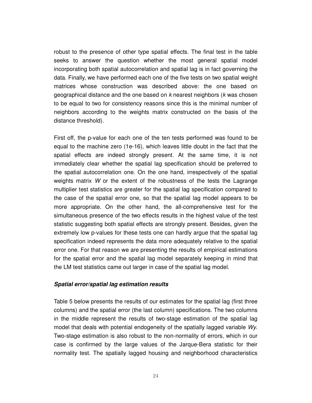robust to the presence of other type spatial effects. The final test in the table seeks to answer the question whether the most general spatial model incorporating both spatial autocorrelation and spatial lag is in fact governing the data. Finally, we have performed each one of the five tests on two spatial weight matrices whose construction was described above: the one based on geographical distance and the one based on *k* nearest neighbors (*k* was chosen to be equal to two for consistency reasons since this is the minimal number of neighbors according to the weights matrix constructed on the basis of the distance threshold).

First off, the p-value for each one of the ten tests performed was found to be equal to the machine zero (1e-16), which leaves little doubt in the fact that the spatial effects are indeed strongly present. At the same time, it is not immediately clear whether the spatial lag specification should be preferred to the spatial autocorrelation one. On the one hand, irrespectively of the spatial weights matrix *W* or the extent of the robustness of the tests the Lagrange multiplier test statistics are greater for the spatial lag specification compared to the case of the spatial error one, so that the spatial lag model appears to be more appropriate. On the other hand, the all-comprehensive test for the simultaneous presence of the two effects results in the highest value of the test statistic suggesting both spatial effects are strongly present. Besides, given the extremely low p-values for these tests one can hardly argue that the spatial lag specification indeed represents the data more adequately relative to the spatial error one. For that reason we are presenting the results of empirical estimations for the spatial error and the spatial lag model separately keeping in mind that the LM test statistics came out larger in case of the spatial lag model.

### **Spatial error/spatial lag estimation results**

Table 5 below presents the results of our estimates for the spatial lag (first three columns) and the spatial error (the last column) specifications. The two columns in the middle represent the results of two-stage estimation of the spatial lag model that deals with potential endogeneity of the spatially lagged variable *Wy*. Two-stage estimation is also robust to the non-normality of errors, which in our case is confirmed by the large values of the Jarque-Bera statistic for their normality test. The spatially lagged housing and neighborhood characteristics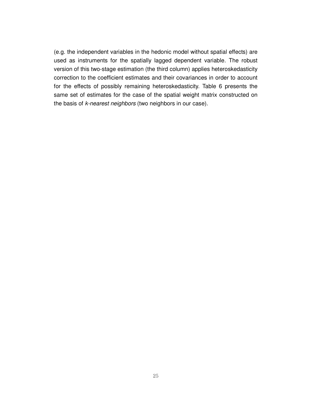(e.g. the independent variables in the hedonic model without spatial effects) are used as instruments for the spatially lagged dependent variable. The robust version of this two-stage estimation (the third column) applies heteroskedasticity correction to the coefficient estimates and their covariances in order to account for the effects of possibly remaining heteroskedasticity. Table 6 presents the same set of estimates for the case of the spatial weight matrix constructed on the basis of *k-nearest neighbors* (two neighbors in our case).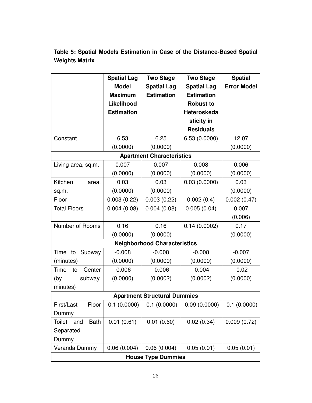|                                     | <b>Spatial Lag</b> | <b>Two Stage</b>                    | <b>Two Stage</b>   | <b>Spatial</b>     |
|-------------------------------------|--------------------|-------------------------------------|--------------------|--------------------|
|                                     | <b>Model</b>       | <b>Spatial Lag</b>                  | <b>Spatial Lag</b> | <b>Error Model</b> |
|                                     | <b>Maximum</b>     | <b>Estimation</b>                   | <b>Estimation</b>  |                    |
|                                     | Likelihood         |                                     | <b>Robust to</b>   |                    |
|                                     | <b>Estimation</b>  |                                     | Heteroskeda        |                    |
|                                     |                    |                                     | sticity in         |                    |
|                                     |                    |                                     | <b>Residuals</b>   |                    |
| Constant                            | 6.53               | 6.25                                | 6.53(0.0000)       | 12.07              |
|                                     | (0.0000)           | (0.0000)                            |                    | (0.0000)           |
|                                     |                    | <b>Apartment Characteristics</b>    |                    |                    |
| Living area, sq.m.                  | 0.007              | 0.007                               | 0.008              | 0.006              |
|                                     | (0.0000)           | (0.0000)                            | (0.0000)           | (0.0000)           |
| Kitchen<br>area,                    | 0.03               | 0.03                                | 0.03(0.0000)       | 0.03               |
| sq.m.                               | (0.0000)           | (0.0000)                            |                    | (0.0000)           |
| Floor                               | 0.003(0.22)        | 0.003(0.22)                         | 0.002(0.4)         | 0.002(0.47)        |
| <b>Total Floors</b>                 | 0.004(0.08)        | 0.004(0.08)                         | 0.005(0.04)        | 0.007              |
|                                     |                    |                                     |                    | (0.006)            |
| Number of Rooms                     | 0.16               | 0.16                                | 0.14(0.0002)       | 0.17               |
|                                     | (0.0000)           | (0.0000)                            |                    | (0.0000)           |
|                                     |                    | <b>Neighborhood Characteristics</b> |                    |                    |
| Time to<br>Subway                   | $-0.008$           | $-0.008$                            | $-0.008$           | $-0.007$           |
| (minutes)                           | (0.0000)           | (0.0000)                            | (0.0000)           | (0.0000)           |
| Time<br>Center<br>to                | $-0.006$           | $-0.006$                            | $-0.004$           | $-0.02$            |
| subway,<br>(by                      | (0.0000)           | (0.0002)                            | (0.0002)           | (0.0000)           |
| minutes)                            |                    |                                     |                    |                    |
| <b>Apartment Structural Dummies</b> |                    |                                     |                    |                    |
| First/Last<br>Floor                 | $-0.1(0.0000)$     | $-0.1(0.0000)$                      | $-0.09(0.0000)$    | $-0.1(0.0000)$     |
| Dummy                               |                    |                                     |                    |                    |
| <b>Bath</b><br><b>Toilet</b><br>and | 0.01(0.61)         | 0.01(0.60)                          | 0.02(0.34)         | 0.009(0.72)        |
| Separated                           |                    |                                     |                    |                    |
| Dummy                               |                    |                                     |                    |                    |
| Veranda Dummy                       | 0.06(0.004)        | 0.06(0.004)                         | 0.05(0.01)         | 0.05(0.01)         |
| <b>House Type Dummies</b>           |                    |                                     |                    |                    |

**Table 5: Spatial Models Estimation in Case of the Distance-Based Spatial Weights Matrix**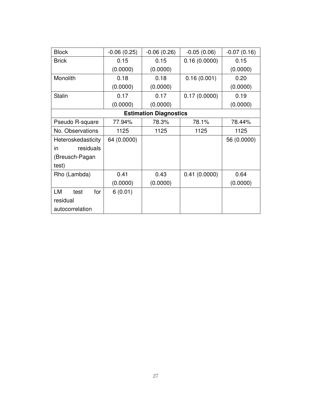| <b>Block</b>       | $-0.06(0.25)$ | $-0.06(0.26)$                 | $-0.05(0.06)$ | $-0.07(0.16)$ |
|--------------------|---------------|-------------------------------|---------------|---------------|
| <b>Brick</b>       | 0.15          | 0.15                          | 0.16(0.0000)  | 0.15          |
|                    | (0.0000)      | (0.0000)                      |               | (0.0000)      |
| Monolith           | 0.18          | 0.18                          | 0.16(0.001)   | 0.20          |
|                    | (0.0000)      | (0.0000)                      |               | (0.0000)      |
| <b>Stalin</b>      | 0.17          | 0.17                          | 0.17(0.0000)  | 0.19          |
|                    | (0.0000)      | (0.0000)                      |               | (0.0000)      |
|                    |               | <b>Estimation Diagnostics</b> |               |               |
| Pseudo R-square    | 77.94%        | 78.3%                         | 78.1%         | 78.44%        |
| No. Observations   | 1125          | 1125                          | 1125          | 1125          |
| Heteroskedasticity | 64 (0.0000)   |                               |               | 56 (0.0000)   |
| in<br>residuals    |               |                               |               |               |
| (Breusch-Pagan     |               |                               |               |               |
| test)              |               |                               |               |               |
| Rho (Lambda)       | 0.41          | 0.43                          | 0.41(0.0000)  | 0.64          |
|                    | (0.0000)      | (0.0000)                      |               | (0.0000)      |
| LM<br>for<br>test  | 6(0.01)       |                               |               |               |
| residual           |               |                               |               |               |
| autocorrelation    |               |                               |               |               |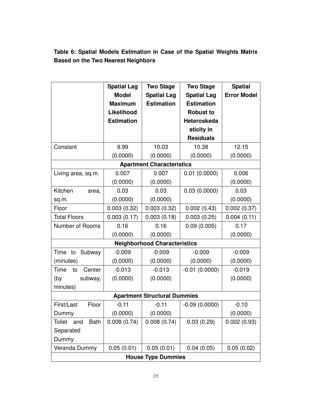**Table 6: Spatial Models Estimation in Case of the Spatial Weights Matrix Based on the Two Nearest Neighbors** 

|                                     | <b>Spatial Lag</b> | <b>Two Stage</b>                    | <b>Two Stage</b>   | <b>Spatial</b>     |
|-------------------------------------|--------------------|-------------------------------------|--------------------|--------------------|
|                                     | <b>Model</b>       | <b>Spatial Lag</b>                  | <b>Spatial Lag</b> | <b>Error Model</b> |
|                                     | <b>Maximum</b>     | <b>Estimation</b>                   | <b>Estimation</b>  |                    |
|                                     | Likelihood         |                                     | <b>Robust to</b>   |                    |
|                                     | <b>Estimation</b>  |                                     | Heteroskeda        |                    |
|                                     |                    |                                     | sticity in         |                    |
|                                     |                    |                                     | <b>Residuals</b>   |                    |
| Constant                            | 9.99               | 10.03                               | 10.38              | 12.15              |
|                                     | (0.0000)           | (0.0000)                            | (0.0000)           | (0.0000)           |
|                                     |                    | <b>Apartment Characteristics</b>    |                    |                    |
| Living area, sq.m.                  | 0.007              | 0.007                               | 0.01(0.0000)       | 0.006              |
|                                     | (0.0000)           | (0.0000)                            |                    | (0.0000)           |
| Kitchen<br>area,                    | 0.03               | 0.03                                | 0.03(0.0000)       | 0.03               |
| sq.m.                               | (0.0000)           | (0.0000)                            |                    | (0.0000)           |
| Floor                               | 0.003(0.32)        | 0.003(0.32)                         | 0.002(0.43)        | 0.002(0.37)        |
| <b>Total Floors</b>                 | 0.003(0.17)        | 0.003(0.18)                         | 0.003(0.25)        | 0.004(0.11)        |
| Number of Rooms                     | 0.16               | 0.16                                | 0.09(0.005)        | 0.17               |
|                                     | (0.0000)           | (0.0000)                            |                    | (0.0000)           |
|                                     |                    | <b>Neighborhood Characteristics</b> |                    |                    |
| Time<br>to<br>Subway                | $-0.009$           | $-0.009$                            | $-0.009$           | $-0.009$           |
| (minutes)                           | (0.0000)           | (0.0000)                            | (0.0000)           | (0.0000)           |
| Time<br>Center<br>to                | $-0.013$           | $-0.013$                            | $-0.01(0.0000)$    | $-0.019$           |
| subway,<br>(by                      | (0.0000)           | (0.0000)                            |                    | (0.0000)           |
| minutes)                            |                    |                                     |                    |                    |
| <b>Apartment Structural Dummies</b> |                    |                                     |                    |                    |
| Floor<br>First/Last                 | $-0.11$            | $-0.11$                             | $-0.09(0.0000)$    | $-0.10$            |
| Dummy                               | (0.0000)           | (0.0000)                            |                    | (0.0000)           |
| <b>Bath</b><br><b>Toilet</b><br>and | 0.008(0.74)        | 0.008(0.74)                         | 0.03(0.29)         | 0.002(0.93)        |
| Separated                           |                    |                                     |                    |                    |
| Dummy                               |                    |                                     |                    |                    |
| Veranda Dummy                       | 0.05(0.01)         | 0.05(0.01)                          | 0.04(0.05)         | 0.05(0.02)         |
| <b>House Type Dummies</b>           |                    |                                     |                    |                    |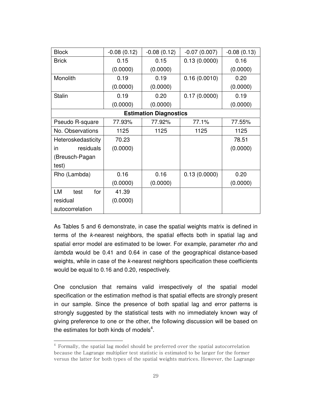| <b>Block</b>       | $-0.08(0.12)$ | $-0.08(0.12)$                 | $-0.07(0.007)$ | $-0.08(0.13)$ |
|--------------------|---------------|-------------------------------|----------------|---------------|
| <b>Brick</b>       | 0.15          | 0.15                          | 0.13(0.0000)   | 0.16          |
|                    | (0.0000)      | (0.0000)                      |                | (0.0000)      |
| Monolith           | 0.19          | 0.19                          | 0.16(0.0010)   | 0.20          |
|                    | (0.0000)      | (0.0000)                      |                | (0.0000)      |
| <b>Stalin</b>      | 0.19          | 0.20                          | 0.17(0.0000)   | 0.19          |
|                    | (0.0000)      | (0.0000)                      |                | (0.0000)      |
|                    |               | <b>Estimation Diagnostics</b> |                |               |
| Pseudo R-square    | 77.93%        | 77.92%                        | 77.1%          | 77.55%        |
| No. Observations   | 1125          | 1125                          | 1125           | 1125          |
| Heteroskedasticity | 70.23         |                               |                | 78.51         |
| residuals<br>in    | (0.0000)      |                               |                | (0.0000)      |
| (Breusch-Pagan     |               |                               |                |               |
| test)              |               |                               |                |               |
| Rho (Lambda)       | 0.16          | 0.16                          | 0.13(0.0000)   | 0.20          |
|                    | (0.0000)      | (0.0000)                      |                | (0.0000)      |
| LM<br>for<br>test  | 41.39         |                               |                |               |
| residual           | (0.0000)      |                               |                |               |
| autocorrelation    |               |                               |                |               |

As Tables 5 and 6 demonstrate, in case the spatial weights matrix is defined in terms of the *k-*nearest neighbors, the spatial effects both in spatial lag and spatial error model are estimated to be lower. For example, parameter *rho* and *lambda* would be 0.41 and 0.64 in case of the geographical distance-based weights, while in case of the *k-*nearest neighbors specification these coefficients would be equal to 0.16 and 0.20, respectively.

One conclusion that remains valid irrespectively of the spatial model specification or the estimation method is that spatial effects are strongly present in our sample. Since the presence of both spatial lag and error patterns is strongly suggested by the statistical tests with no immediately known way of giving preference to one or the other, the following discussion will be based on the estimates for both kinds of models<sup>4</sup>.

l

 $^4$  Formally, the spatial lag model should be preferred over the spatial autocorrelation because the Lagrange multiplier test statistic is estimated to be larger for the former versus the latter for both types of the spatial weights matrices. However, the Lagrange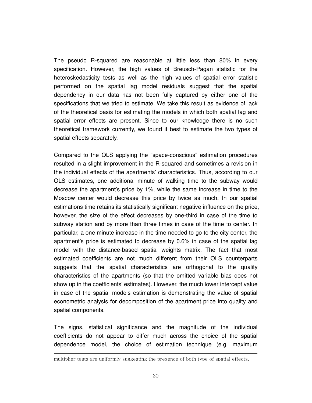The pseudo R-squared are reasonable at little less than 80% in every specification. However, the high values of Breusch-Pagan statistic for the heteroskedasticity tests as well as the high values of spatial error statistic performed on the spatial lag model residuals suggest that the spatial dependency in our data has not been fully captured by either one of the specifications that we tried to estimate. We take this result as evidence of lack of the theoretical basis for estimating the models in which both spatial lag and spatial error effects are present. Since to our knowledge there is no such theoretical framework currently, we found it best to estimate the two types of spatial effects separately.

Compared to the OLS applying the "space-conscious" estimation procedures resulted in a slight improvement in the R-squared and sometimes a revision in the individual effects of the apartments' characteristics. Thus, according to our OLS estimates, one additional minute of walking time to the subway would decrease the apartment's price by 1%, while the same increase in time to the Moscow center would decrease this price by twice as much. In our spatial estimations time retains its statistically significant negative influence on the price, however, the size of the effect decreases by one-third in case of the time to subway station and by more than three times in case of the time to center. In particular, a one minute increase in the time needed to go to the city center, the apartment's price is estimated to decrease by 0.6% in case of the spatial lag model with the distance-based spatial weights matrix. The fact that most estimated coefficients are not much different from their OLS counterparts suggests that the spatial characteristics are orthogonal to the quality characteristics of the apartments (so that the omitted variable bias does not show up in the coefficients' estimates). However, the much lower intercept value in case of the spatial models estimation is demonstrating the value of spatial econometric analysis for decomposition of the apartment price into quality and spatial components.

The signs, statistical significance and the magnitude of the individual coefficients do not appear to differ much across the choice of the spatial dependence model, the choice of estimation technique (e.g. maximum

l

multiplier tests are uniformly suggesting the presence of both type of spatial effects.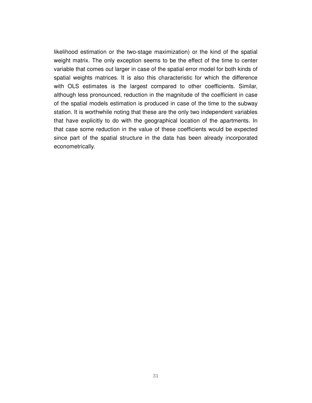likelihood estimation or the two-stage maximization) or the kind of the spatial weight matrix. The only exception seems to be the effect of the time to center variable that comes out larger in case of the spatial error model for both kinds of spatial weights matrices. It is also this characteristic for which the difference with OLS estimates is the largest compared to other coefficients. Similar, although less pronounced, reduction in the magnitude of the coefficient in case of the spatial models estimation is produced in case of the time to the subway station. It is worthwhile noting that these are the only two independent variables that have explicitly to do with the geographical location of the apartments. In that case some reduction in the value of these coefficients would be expected since part of the spatial structure in the data has been already incorporated econometrically.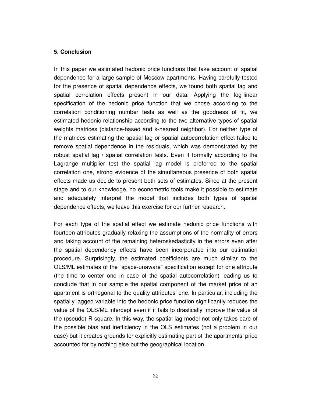### **5. Conclusion**

In this paper we estimated hedonic price functions that take account of spatial dependence for a large sample of Moscow apartments. Having carefully tested for the presence of spatial dependence effects, we found both spatial lag and spatial correlation effects present in our data. Applying the log-linear specification of the hedonic price function that we chose according to the correlation conditioning number tests as well as the goodness of fit, we estimated hedonic relationship according to the two alternative types of spatial weights matrices (distance-based and k-nearest neighbor). For neither type of the matrices estimating the spatial lag or spatial autocorrelation effect failed to remove spatial dependence in the residuals, which was demonstrated by the robust spatial lag / spatial correlation tests. Even if formally according to the Lagrange multiplier test the spatial lag model is preferred to the spatial correlation one, strong evidence of the simultaneous presence of both spatial effects made us decide to present both sets of estimates. Since at the present stage and to our knowledge, no econometric tools make it possible to estimate and adequately interpret the model that includes both types of spatial dependence effects, we leave this exercise for our further research.

For each type of the spatial effect we estimate hedonic price functions with fourteen attributes gradually relaxing the assumptions of the normality of errors and taking account of the remaining heteroskedasticity in the errors even after the spatial dependency effects have been incorporated into our estimation procedure. Surprisingly, the estimated coefficients are much similar to the OLS/ML estimates of the "space-unaware" specification except for one attribute (the time to center one in case of the spatial autocorrelation) leading us to conclude that in our sample the spatial component of the market price of an apartment is orthogonal to the quality attributes' one. In particular, including the spatially lagged variable into the hedonic price function significantly reduces the value of the OLS/ML intercept even if it fails to drastically improve the value of the (pseudo) R-square. In this way, the spatial lag model not only takes care of the possible bias and inefficiency in the OLS estimates (not a problem in our case) but it creates grounds for explicitly estimating part of the apartments' price accounted for by nothing else but the geographical location.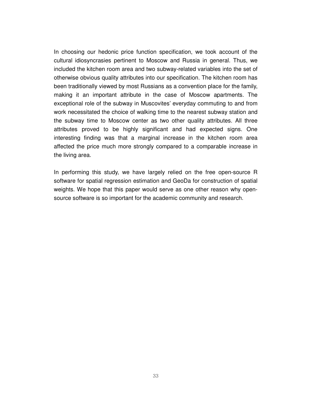In choosing our hedonic price function specification, we took account of the cultural idiosyncrasies pertinent to Moscow and Russia in general. Thus, we included the kitchen room area and two subway-related variables into the set of otherwise obvious quality attributes into our specification. The kitchen room has been traditionally viewed by most Russians as a convention place for the family, making it an important attribute in the case of Moscow apartments. The exceptional role of the subway in Muscovites' everyday commuting to and from work necessitated the choice of walking time to the nearest subway station and the subway time to Moscow center as two other quality attributes. All three attributes proved to be highly significant and had expected signs. One interesting finding was that a marginal increase in the kitchen room area affected the price much more strongly compared to a comparable increase in the living area.

In performing this study, we have largely relied on the free open-source R software for spatial regression estimation and GeoDa for construction of spatial weights. We hope that this paper would serve as one other reason why opensource software is so important for the academic community and research.